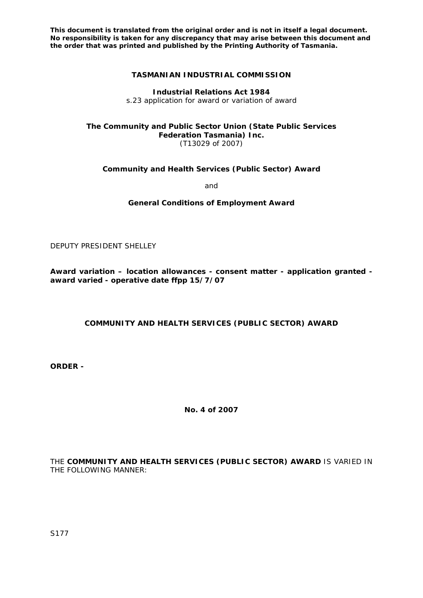**This document is translated from the original order and is not in itself a legal document. No responsibility is taken for any discrepancy that may arise between this document and the order that was printed and published by the Printing Authority of Tasmania.** 

## **TASMANIAN INDUSTRIAL COMMISSION**

**Industrial Relations Act 1984**  s.23 application for award or variation of award

#### **The Community and Public Sector Union (State Public Services Federation Tasmania) Inc.**  (T13029 of 2007)

**Community and Health Services (Public Sector) Award** 

and

**General Conditions of Employment Award** 

DEPUTY PRESIDENT SHELLEY

**Award variation – location allowances - consent matter - application granted award varied - operative date ffpp 15/7/07** 

## **COMMUNITY AND HEALTH SERVICES (PUBLIC SECTOR) AWARD**

**ORDER -** 

**No. 4 of 2007** 

THE **COMMUNITY AND HEALTH SERVICES (PUBLIC SECTOR) AWARD** IS VARIED IN THE FOLLOWING MANNER: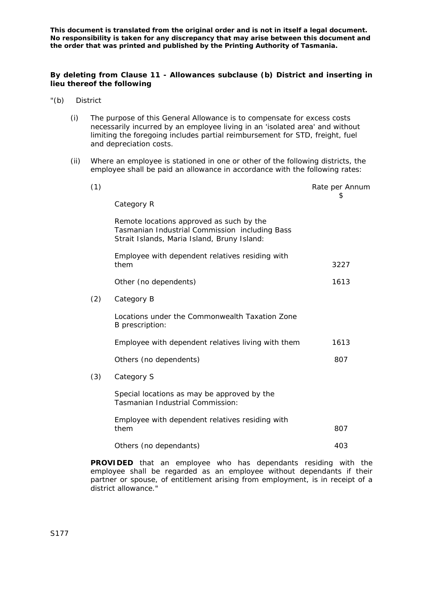**This document is translated from the original order and is not in itself a legal document. No responsibility is taken for any discrepancy that may arise between this document and the order that was printed and published by the Printing Authority of Tasmania.** 

## **By deleting from Clause 11 - Allowances subclause (b) District and inserting in lieu thereof the following**

- "(b) District
	- (i) The purpose of this General Allowance is to compensate for excess costs necessarily incurred by an employee living in an 'isolated area' and without limiting the foregoing includes partial reimbursement for STD, freight, fuel and depreciation costs.
	- (ii) Where an employee is stationed in one or other of the following districts, the employee shall be paid an allowance in accordance with the following rates:

| (1) |                                                                                                                                           | Rate per Annum<br>\$ |
|-----|-------------------------------------------------------------------------------------------------------------------------------------------|----------------------|
|     | Category R                                                                                                                                |                      |
|     | Remote locations approved as such by the<br>Tasmanian Industrial Commission including Bass<br>Strait Islands, Maria Island, Bruny Island: |                      |
|     | Employee with dependent relatives residing with<br>them                                                                                   | 3227                 |
|     | Other (no dependents)                                                                                                                     | 1613                 |
| (2) | Category B                                                                                                                                |                      |
|     | Locations under the Commonwealth Taxation Zone<br>B prescription:                                                                         |                      |
|     | Employee with dependent relatives living with them                                                                                        | 1613                 |
|     | Others (no dependents)                                                                                                                    | 807                  |
| (3) | Category S                                                                                                                                |                      |
|     | Special locations as may be approved by the<br>Tasmanian Industrial Commission:                                                           |                      |
|     | Employee with dependent relatives residing with<br>them                                                                                   | 807                  |
|     | Others (no dependants)                                                                                                                    | 403                  |

**PROVIDED** that an employee who has dependants residing with the employee shall be regarded as an employee without dependants if their partner or spouse, of entitlement arising from employment, is in receipt of a district allowance."